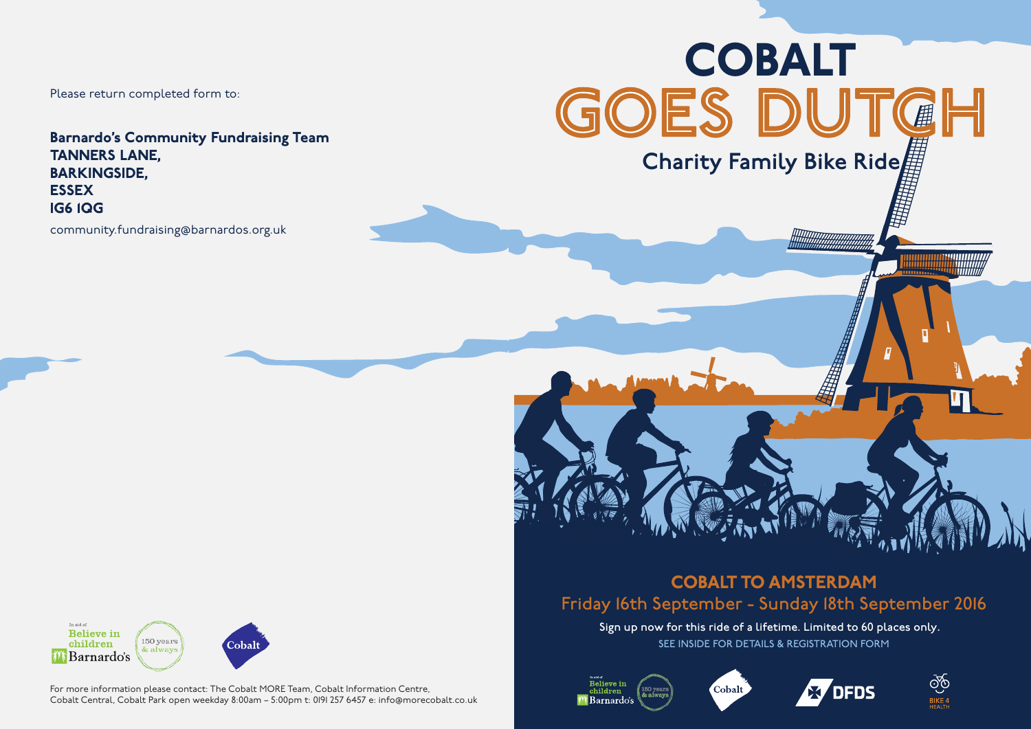Please return completed form to:

Barnardo's Community Fundraising Team TANNERS LANE, BARKINGSIDE, ESSEX IG6 1QG

community.fundraising@barnardos.org.uk



COBALT TO AMSTERDAM Friday 16th September - Sunday 18th September 2016

Sign up now for this ride of a lifetime. Limited to 60 places only. SEE INSIDE FOR DETAILS & REGISTRATION FORM











For more information please contact: The Cobalt MORE Team, Cobalt Information Centre, Cobalt Central, Cobalt Park open weekday 8:00am – 5:00pm t: 0191 257 6457 e: info@morecobalt.co.uk